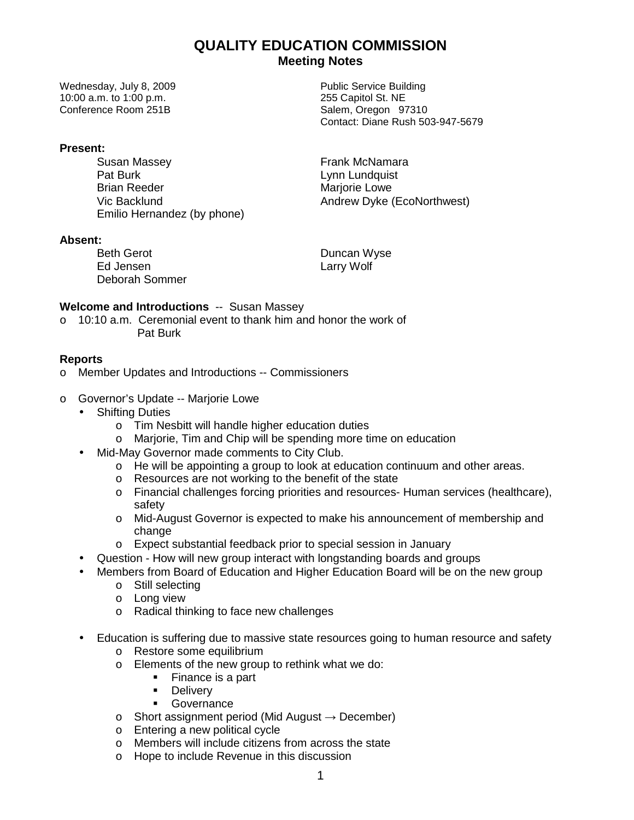# **QUALITY EDUCATION COMMISSION Meeting Notes**

Wednesday, July 8, 2009 **Public Service Building** 10:00 a.m. to 1:00 p.m. 255 Capitol St. NE Conference Room 251B Salem, Oregon 97310

#### **Present:**

Susan Massey **Frank McNamara** Pat Burk and the Communist Communist Lynn Lundquist<br>
Brian Reeder Mariorie Lowe Emilio Hernandez (by phone)

#### **Absent:**

Beth Gerot **Duncan Wyse** Ed Jensen Larry Wolf Deborah Sommer

### **Welcome and Introductions** -- Susan Massey

o 10:10 a.m. Ceremonial event to thank him and honor the work of Pat Burk

### **Reports**

- o Member Updates and Introductions -- Commissioners
- o Governor's Update -- Marjorie Lowe
	- Shifting Duties
		- o Tim Nesbitt will handle higher education duties
		- o Marjorie, Tim and Chip will be spending more time on education
	- Mid-May Governor made comments to City Club.
		- $\circ$  He will be appointing a group to look at education continuum and other areas.
		- o Resources are not working to the benefit of the state
		- o Financial challenges forcing priorities and resources- Human services (healthcare), safety
		- o Mid-August Governor is expected to make his announcement of membership and change
		- o Expect substantial feedback prior to special session in January
		- Question How will new group interact with longstanding boards and groups
	- Members from Board of Education and Higher Education Board will be on the new group
		- o Still selecting
		- o Long view
		- o Radical thinking to face new challenges
	- Education is suffering due to massive state resources going to human resource and safety
		- o Restore some equilibrium
		- o Elements of the new group to rethink what we do:
			- Finance is a part
				- **Delivery**
				- **Governance**
		- $\circ$  Short assignment period (Mid August  $\rightarrow$  December)
		- o Entering a new political cycle
		- o Members will include citizens from across the state
		- o Hope to include Revenue in this discussion

Contact: Diane Rush 503-947-5679

Marjorie Lowe Vic Backlund **Andrew Dyke (EcoNorthwest)**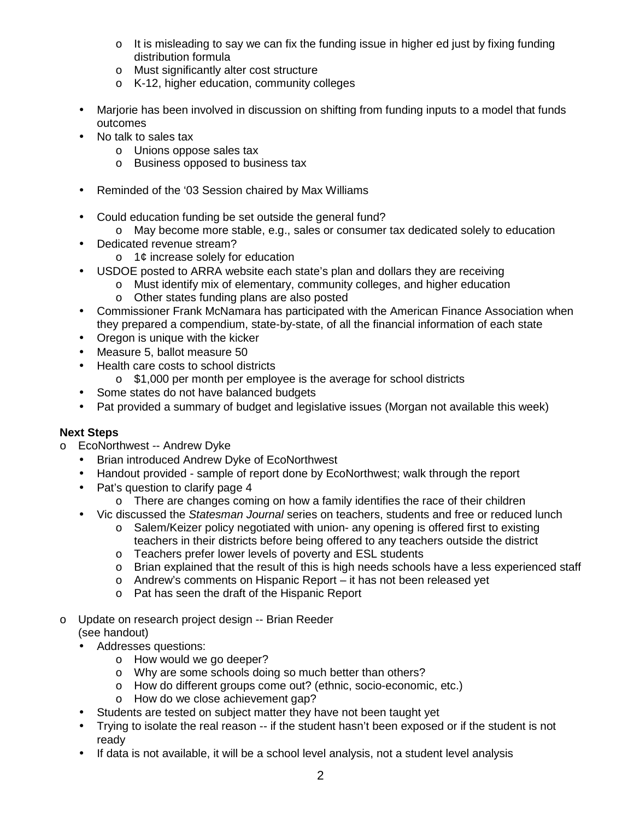- $\circ$  It is misleading to say we can fix the funding issue in higher ed just by fixing funding distribution formula
- o Must significantly alter cost structure
- o K-12, higher education, community colleges
- Marjorie has been involved in discussion on shifting from funding inputs to a model that funds outcomes
- No talk to sales tax
	- o Unions oppose sales tax
	- o Business opposed to business tax
- Reminded of the '03 Session chaired by Max Williams
- Could education funding be set outside the general fund?
	- o May become more stable, e.g., sales or consumer tax dedicated solely to education
- Dedicated revenue stream?
	- o 1¢ increase solely for education
- USDOE posted to ARRA website each state's plan and dollars they are receiving
	- o Must identify mix of elementary, community colleges, and higher education
	- o Other states funding plans are also posted
- Commissioner Frank McNamara has participated with the American Finance Association when they prepared a compendium, state-by-state, of all the financial information of each state
- Oregon is unique with the kicker
- Measure 5, ballot measure 50
- Health care costs to school districts
	- o \$1,000 per month per employee is the average for school districts
- Some states do not have balanced budgets
- Pat provided a summary of budget and legislative issues (Morgan not available this week)

## **Next Steps**

- o EcoNorthwest -- Andrew Dyke
	- Brian introduced Andrew Dyke of EcoNorthwest
	- Handout provided sample of report done by EcoNorthwest; walk through the report
	- Pat's question to clarify page 4
		- o There are changes coming on how a family identifies the race of their children
	- Vic discussed the Statesman Journal series on teachers, students and free or reduced lunch
		- o Salem/Keizer policy negotiated with union- any opening is offered first to existing teachers in their districts before being offered to any teachers outside the district
		- o Teachers prefer lower levels of poverty and ESL students
		- $\circ$  Brian explained that the result of this is high needs schools have a less experienced staff
		- o Andrew's comments on Hispanic Report it has not been released yet
		- o Pat has seen the draft of the Hispanic Report
- o Update on research project design -- Brian Reeder
	- (see handout) • Addresses questions:
		- o How would we go deeper?
			- o Why are some schools doing so much better than others?
			- o How do different groups come out? (ethnic, socio-economic, etc.)
			- o How do we close achievement gap?
	- Students are tested on subject matter they have not been taught yet
	- Trying to isolate the real reason -- if the student hasn't been exposed or if the student is not ready
	- If data is not available, it will be a school level analysis, not a student level analysis